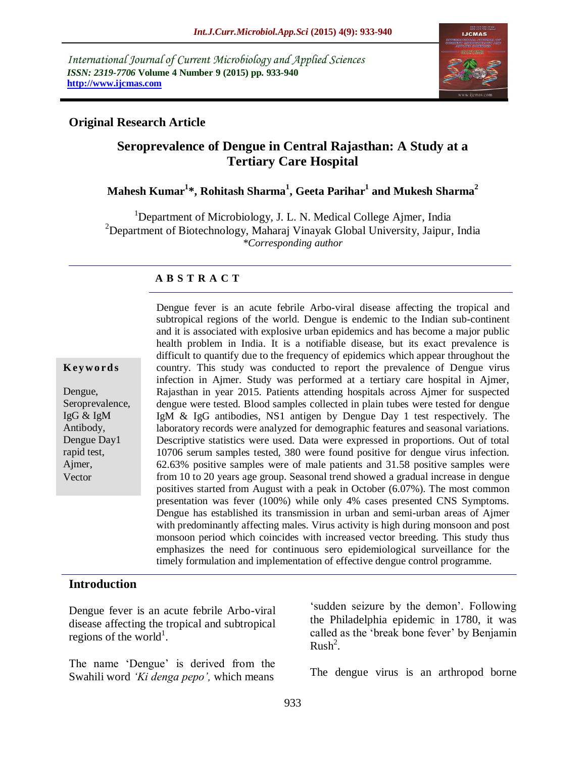*International Journal of Current Microbiology and Applied Sciences ISSN: 2319-7706* **Volume 4 Number 9 (2015) pp. 933-940 http://www.ijcmas.com** 



#### **Original Research Article**

# **Seroprevalence of Dengue in Central Rajasthan: A Study at a Tertiary Care Hospital**

# **Mahesh Kumar<sup>1</sup> \*, Rohitash Sharma<sup>1</sup> , Geeta Parihar<sup>1</sup> and Mukesh Sharma<sup>2</sup>**

<sup>1</sup>Department of Microbiology, J. L. N. Medical College Ajmer, India  $2$ Department of Biotechnology, Maharaj Vinayak Global University, Jaipur, India *\*Corresponding author*

#### **A B S T R A C T**

#### **K ey w o rd s**

Dengue, Seroprevalence, IgG & IgM Antibody, Dengue Day1 rapid test, Ajmer, **Vector** 

subtropical regions of the world. Dengue is endemic to the Indian sub-continent and it is associated with explosive urban epidemics and has become a major public health problem in India. It is a notifiable disease, but its exact prevalence is difficult to quantify due to the frequency of epidemics which appear throughout the country. This study was conducted to report the prevalence of Dengue virus infection in Ajmer. Study was performed at a tertiary care hospital in Ajmer, Rajasthan in year 2015. Patients attending hospitals across Ajmer for suspected dengue were tested. Blood samples collected in plain tubes were tested for dengue IgM & IgG antibodies, NS1 antigen by Dengue Day 1 test respectively. The laboratory records were analyzed for demographic features and seasonal variations. Descriptive statistics were used. Data were expressed in proportions. Out of total 10706 serum samples tested, 380 were found positive for dengue virus infection. 62.63% positive samples were of male patients and 31.58 positive samples were from 10 to 20 years age group. Seasonal trend showed a gradual increase in dengue positives started from August with a peak in October (6.07%). The most common presentation was fever (100%) while only 4% cases presented CNS Symptoms. Dengue has established its transmission in urban and semi-urban areas of Ajmer with predominantly affecting males. Virus activity is high during monsoon and post monsoon period which coincides with increased vector breeding. This study thus emphasizes the need for continuous sero epidemiological surveillance for the timely formulation and implementation of effective dengue control programme.

Dengue fever is an acute febrile Arbo-viral disease affecting the tropical and

#### **Introduction**

Dengue fever is an acute febrile Arbo-viral disease affecting the tropical and subtropical regions of the world<sup>1</sup>.

The name 'Dengue' is derived from the Swahili word *'Ki denga pepo',* which means

'sudden seizure by the demon'. Following the Philadelphia epidemic in 1780, it was called as the "break bone fever" by Benjamin  $Rush<sup>2</sup>$ .

The dengue virus is an arthropod borne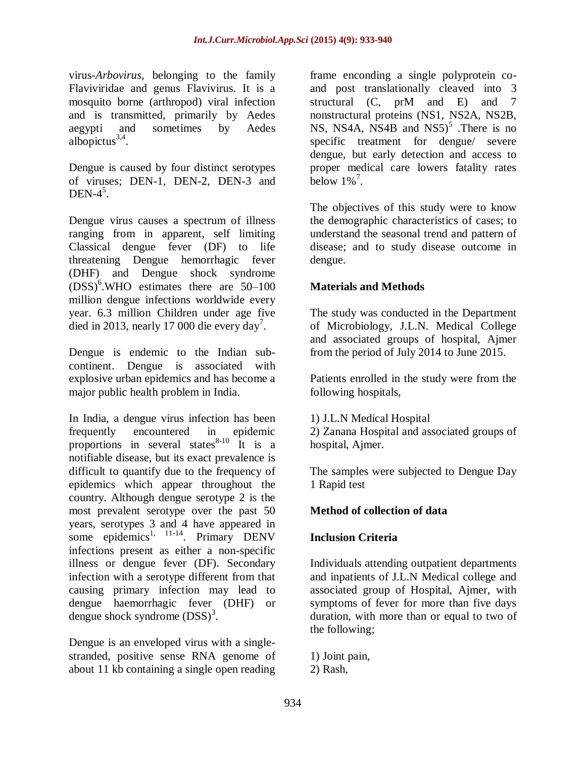virus-*Arbovirus,* belonging to the family Flaviviridae and genus Flavivirus. It is a mosquito borne (arthropod) viral infection and is transmitted, primarily by Aedes aegypti and sometimes by Aedes albopictus $3,4$ .

Dengue is caused by four distinct serotypes of viruses; DEN-1, DEN-2, DEN-3 and DEN- $4^5$ .

Dengue virus causes a spectrum of illness ranging from in apparent, self limiting Classical dengue fever (DF) to life threatening Dengue hemorrhagic fever (DHF) and Dengue shock syndrome (DSS)<sup>6</sup> .WHO estimates there are 50–100 million dengue infections worldwide every year. 6.3 million Children under age five died in 2013, nearly 17 000 die every day<sup>7</sup>.

Dengue is endemic to the Indian subcontinent. Dengue is associated with explosive urban epidemics and has become a major public health problem in India.

In India, a dengue virus infection has been<br>frequently encountered in epidemic frequently encountered in proportions in several states $8-10$  It is a notifiable disease, but its exact prevalence is difficult to quantify due to the frequency of epidemics which appear throughout the country. Although dengue serotype 2 is the most prevalent serotype over the past 50 years, serotypes 3 and 4 have appeared in some epidemics<sup>1, 11-14</sup>. Primary DENV infections present as either a non-specific illness or dengue fever (DF). Secondary infection with a serotype different from that causing primary infection may lead to dengue haemorrhagic fever (DHF) or dengue shock syndrome  $(DSS)^3$ .

Dengue is an enveloped virus with a singlestranded, positive sense RNA genome of about 11 kb containing a single open reading frame enconding a single polyprotein coand post translationally cleaved into 3 structural (C, prM and E) and 7 nonstructural proteins (NS1, NS2A, NS2B, NS, NS4A, NS4B and  $NS5$ <sup>5</sup>. There is no specific treatment for dengue/ severe dengue, but early detection and access to proper medical care lowers fatality rates below  $1\%$ <sup>7</sup>.

The objectives of this study were to know the demographic characteristics of cases; to understand the seasonal trend and pattern of disease; and to study disease outcome in dengue.

# **Materials and Methods**

The study was conducted in the Department of Microbiology, J.L.N. Medical College and associated groups of hospital, Ajmer from the period of July 2014 to June 2015.

Patients enrolled in the study were from the following hospitals,

1) J.L.N Medical Hospital

2) Zanana Hospital and associated groups of hospital, Ajmer.

The samples were subjected to Dengue Day 1 Rapid test

#### **Method of collection of data**

# **Inclusion Criteria**

Individuals attending outpatient departments and inpatients of J.L.N Medical college and associated group of Hospital, Ajmer, with symptoms of fever for more than five days duration, with more than or equal to two of the following;

1) Joint pain, 2) Rash,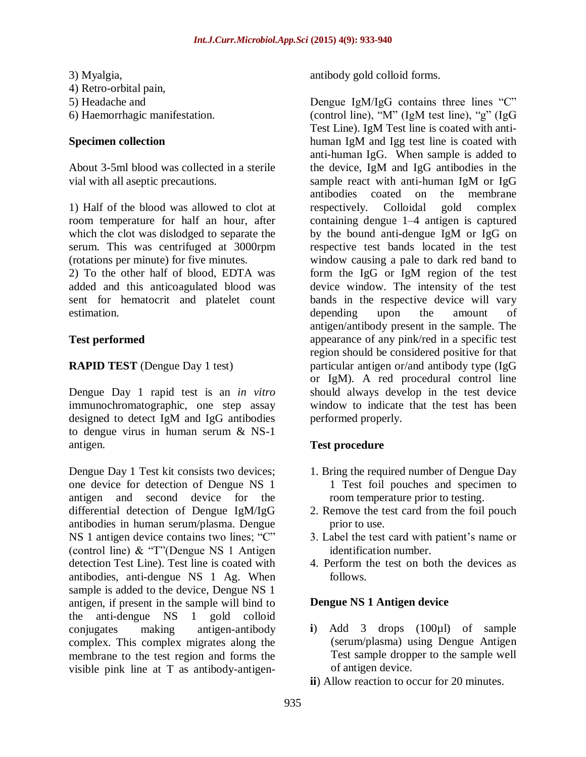3) Myalgia, 4) Retro-orbital pain, 5) Headache and 6) Haemorrhagic manifestation.

#### **Specimen collection**

About 3-5ml blood was collected in a sterile vial with all aseptic precautions.

1) Half of the blood was allowed to clot at room temperature for half an hour, after which the clot was dislodged to separate the serum. This was centrifuged at 3000rpm (rotations per minute) for five minutes.

2) To the other half of blood, EDTA was added and this anticoagulated blood was sent for hematocrit and platelet count estimation.

# **Test performed**

# **RAPID TEST** (Dengue Day 1 test)

Dengue Day 1 rapid test is an *in vitro*  immunochromatographic, one step assay designed to detect IgM and IgG antibodies to dengue virus in human serum & NS-1 antigen.

Dengue Day 1 Test kit consists two devices; one device for detection of Dengue NS 1 antigen and second device for the differential detection of Dengue IgM/IgG antibodies in human serum/plasma. Dengue NS 1 antigen device contains two lines; "C" (control line) & "T"(Dengue NS 1 Antigen detection Test Line). Test line is coated with antibodies, anti-dengue NS 1 Ag. When sample is added to the device, Dengue NS 1 antigen, if present in the sample will bind to the anti-dengue NS 1 gold colloid conjugates making antigen-antibody complex. This complex migrates along the membrane to the test region and forms the visible pink line at T as antibody-antigenantibody gold colloid forms.

Dengue IgM/IgG contains three lines "C" (control line), "M" (IgM test line), "g" (IgG Test Line). IgM Test line is coated with antihuman IgM and Igg test line is coated with anti-human IgG. When sample is added to the device, IgM and IgG antibodies in the sample react with anti-human IgM or IgG antibodies coated on the membrane respectively. Colloidal gold complex containing dengue 1–4 antigen is captured by the bound anti-dengue IgM or IgG on respective test bands located in the test window causing a pale to dark red band to form the IgG or IgM region of the test device window. The intensity of the test bands in the respective device will vary depending upon the amount of antigen/antibody present in the sample. The appearance of any pink/red in a specific test region should be considered positive for that particular antigen or/and antibody type (IgG or IgM). A red procedural control line should always develop in the test device window to indicate that the test has been performed properly.

# **Test procedure**

- 1. Bring the required number of Dengue Day 1 Test foil pouches and specimen to room temperature prior to testing.
- 2. Remove the test card from the foil pouch prior to use.
- 3. Label the test card with patient"s name or identification number.
- 4. Perform the test on both the devices as follows.

#### **Dengue NS 1 Antigen device**

- **i**) Add 3 drops (100µl) of sample (serum/plasma) using Dengue Antigen Test sample dropper to the sample well of antigen device.
- **ii**) Allow reaction to occur for 20 minutes.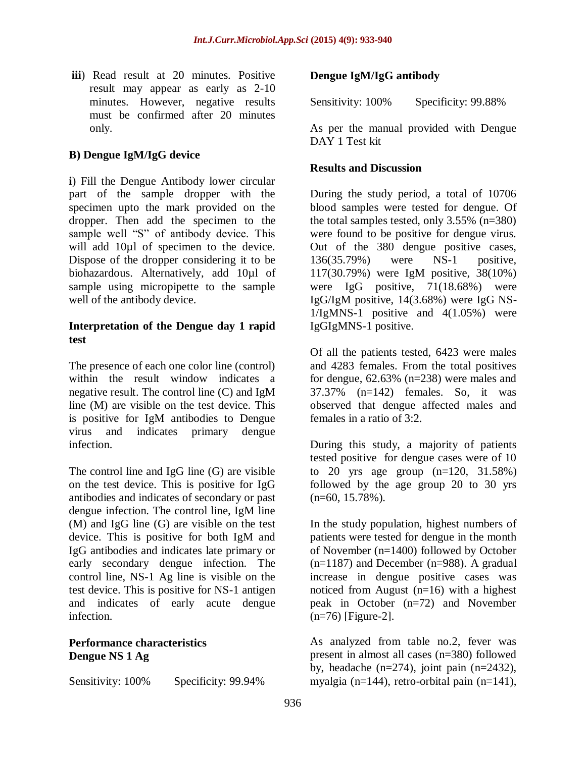**iii**) Read result at 20 minutes. Positive result may appear as early as 2-10 minutes. However, negative results must be confirmed after 20 minutes only.

### **B) Dengue IgM/IgG device**

**i**) Fill the Dengue Antibody lower circular part of the sample dropper with the specimen upto the mark provided on the dropper. Then add the specimen to the sample well "S" of antibody device. This will add 10µl of specimen to the device. Dispose of the dropper considering it to be biohazardous. Alternatively, add 10µl of sample using micropipette to the sample well of the antibody device.

#### **Interpretation of the Dengue day 1 rapid test**

The presence of each one color line (control) within the result window indicates a negative result. The control line (C) and IgM line (M) are visible on the test device. This is positive for IgM antibodies to Dengue virus and indicates primary dengue infection.

The control line and IgG line (G) are visible on the test device. This is positive for IgG antibodies and indicates of secondary or past dengue infection. The control line, IgM line (M) and IgG line (G) are visible on the test device. This is positive for both IgM and IgG antibodies and indicates late primary or early secondary dengue infection. The control line, NS-1 Ag line is visible on the test device. This is positive for NS-1 antigen and indicates of early acute dengue infection.

### **Performance characteristics Dengue NS 1 Ag**

Sensitivity:  $100\%$  Specificity: 99.94%

### **Dengue IgM/IgG antibody**

Sensitivity: 100% Specificity: 99.88%

As per the manual provided with Dengue DAY 1 Test kit

#### **Results and Discussion**

During the study period, a total of 10706 blood samples were tested for dengue. Of the total samples tested, only 3.55% (n=380) were found to be positive for dengue virus. Out of the 380 dengue positive cases, 136(35.79%) were NS-1 positive, 117(30.79%) were IgM positive, 38(10%) were IgG positive, 71(18.68%) were IgG/IgM positive, 14(3.68%) were IgG NS-1/IgMNS-1 positive and 4(1.05%) were IgGIgMNS-1 positive.

Of all the patients tested, 6423 were males and 4283 females. From the total positives for dengue, 62.63% (n=238) were males and 37.37% (n=142) females. So, it was observed that dengue affected males and females in a ratio of 3:2.

During this study, a majority of patients tested positive for dengue cases were of 10 to 20 yrs age group (n=120, 31.58%) followed by the age group 20 to 30 yrs (n=60, 15.78%).

In the study population, highest numbers of patients were tested for dengue in the month of November (n=1400) followed by October  $(n=1187)$  and December  $(n=988)$ . A gradual increase in dengue positive cases was noticed from August (n=16) with a highest peak in October (n=72) and November  $(n=76)$  [Figure-2].

As analyzed from table no.2, fever was present in almost all cases (n=380) followed by, headache  $(n=274)$ , joint pain  $(n=2432)$ , myalgia (n=144), retro-orbital pain (n=141),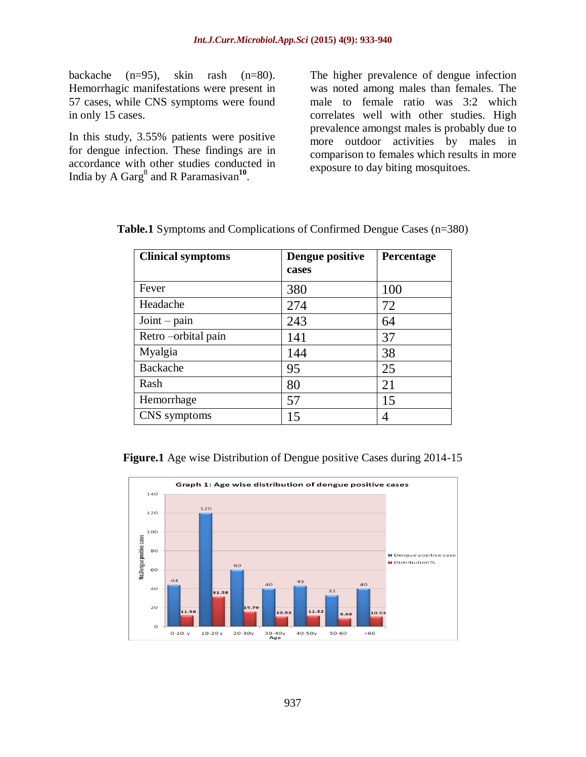backache (n=95), skin rash (n=80). Hemorrhagic manifestations were present in 57 cases, while CNS symptoms were found in only 15 cases.

In this study, 3.55% patients were positive for dengue infection. These findings are in accordance with other studies conducted in India by A Garg<sup>8</sup> and R Paramasivan<sup>10</sup>.

The higher prevalence of dengue infection was noted among males than females. The male to female ratio was 3:2 which correlates well with other studies. High prevalence amongst males is probably due to more outdoor activities by males in comparison to females which results in more exposure to day biting mosquitoes.

| <b>Clinical symptoms</b> | Dengue positive<br>cases | Percentage |
|--------------------------|--------------------------|------------|
| Fever                    | 380                      | 100        |
| Headache                 | 274                      | 72         |
| $Joint - pain$           | 243                      | 64         |
| Retro-orbital pain       | 141                      | 37         |
| Myalgia                  | 144                      | 38         |
| Backache                 | 95                       | 25         |
| Rash                     | 80                       | 21         |
| Hemorrhage               | 57                       | 15         |
| CNS symptoms             | 15                       | 4          |

|  |  | Table.1 Symptoms and Complications of Confirmed Dengue Cases (n=380) |  |  |  |
|--|--|----------------------------------------------------------------------|--|--|--|
|--|--|----------------------------------------------------------------------|--|--|--|

**Figure.1** Age wise Distribution of Dengue positive Cases during 2014-15

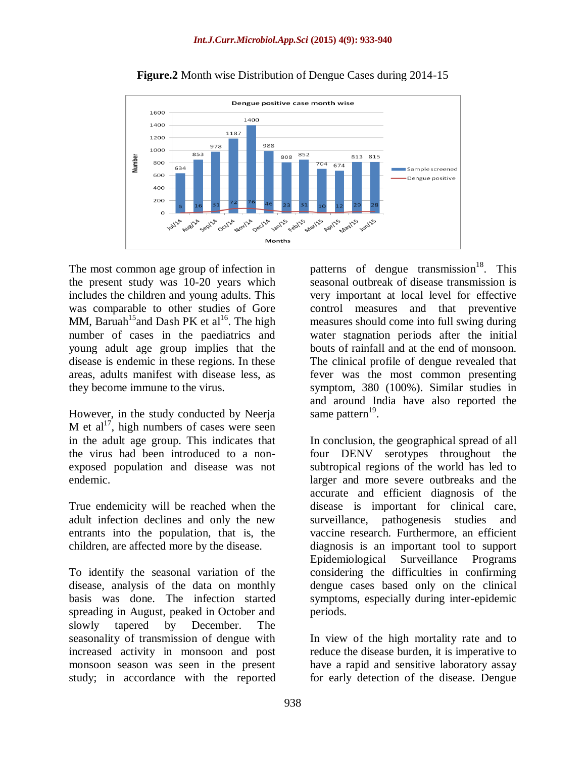

**Figure.2** Month wise Distribution of Dengue Cases during 2014-15

The most common age group of infection in the present study was 10-20 years which includes the children and young adults. This was comparable to other studies of Gore MM, Baruah<sup>15</sup> and Dash PK et al<sup>16</sup>. The high number of cases in the paediatrics and young adult age group implies that the disease is endemic in these regions. In these areas, adults manifest with disease less, as they become immune to the virus.

However, in the study conducted by Neerja M et al<sup>17</sup>, high numbers of cases were seen in the adult age group. This indicates that the virus had been introduced to a nonexposed population and disease was not endemic.

True endemicity will be reached when the adult infection declines and only the new entrants into the population, that is, the children, are affected more by the disease.

To identify the seasonal variation of the disease, analysis of the data on monthly basis was done. The infection started spreading in August, peaked in October and slowly tapered by December. The seasonality of transmission of dengue with increased activity in monsoon and post monsoon season was seen in the present study; in accordance with the reported

patterns of dengue transmission<sup>18</sup>. This seasonal outbreak of disease transmission is very important at local level for effective control measures and that preventive measures should come into full swing during water stagnation periods after the initial bouts of rainfall and at the end of monsoon. The clinical profile of dengue revealed that fever was the most common presenting symptom, 380 (100%). Similar studies in and around India have also reported the same pattern<sup>19</sup>.

In conclusion, the geographical spread of all four DENV serotypes throughout the subtropical regions of the world has led to larger and more severe outbreaks and the accurate and efficient diagnosis of the disease is important for clinical care, surveillance, pathogenesis studies and vaccine research. Furthermore, an efficient diagnosis is an important tool to support Epidemiological Surveillance Programs considering the difficulties in confirming dengue cases based only on the clinical symptoms, especially during inter-epidemic periods.

In view of the high mortality rate and to reduce the disease burden, it is imperative to have a rapid and sensitive laboratory assay for early detection of the disease. Dengue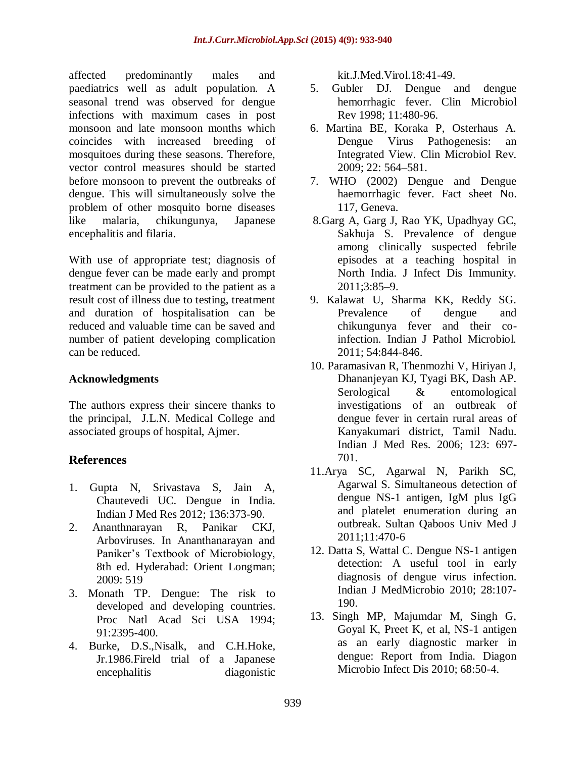affected predominantly males and paediatrics well as adult population. A seasonal trend was observed for dengue infections with maximum cases in post monsoon and late monsoon months which coincides with increased breeding of mosquitoes during these seasons. Therefore, vector control measures should be started before monsoon to prevent the outbreaks of dengue. This will simultaneously solve the problem of other mosquito borne diseases like malaria, chikungunya, Japanese encephalitis and filaria.

With use of appropriate test; diagnosis of dengue fever can be made early and prompt treatment can be provided to the patient as a result cost of illness due to testing, treatment and duration of hospitalisation can be reduced and valuable time can be saved and number of patient developing complication can be reduced.

### **Acknowledgments**

The authors express their sincere thanks to the principal, J.L.N. Medical College and associated groups of hospital, Ajmer.

# **References**

- 1. Gupta N, Srivastava S, Jain A, Chautevedi UC. Dengue in India. Indian J Med Res 2012; 136:373-90.
- 2. Ananthnarayan R, Panikar CKJ, Arboviruses. In Ananthanarayan and Paniker"s Textbook of Microbiology, 8th ed. Hyderabad: Orient Longman; 2009: 519
- 3. Monath TP. Dengue: The risk to developed and developing countries. Proc Natl Acad Sci USA 1994; 91:2395-400.
- 4. Burke, D.S.,Nisalk, and C.H.Hoke, Jr.1986.Fireld trial of a Japanese encephalitis diagonistic

kit.J.Med.Virol.18:41-49.

- 5. Gubler DJ. Dengue and dengue hemorrhagic fever. Clin Microbiol Rev 1998; 11:480-96.
- 6. Martina BE, Koraka P, Osterhaus A. Dengue Virus Pathogenesis: an Integrated View. Clin Microbiol Rev. 2009; 22: 564–581.
- 7. WHO (2002) Dengue and Dengue haemorrhagic fever. Fact sheet No. 117, Geneva.
- 8.Garg A, Garg J, Rao YK, Upadhyay GC, Sakhuja S. Prevalence of dengue among clinically suspected febrile episodes at a teaching hospital in North India. J Infect Dis Immunity. 2011;3:85–9.
- 9. Kalawat U, Sharma KK, Reddy SG. Prevalence of dengue and chikungunya fever and their coinfection. Indian J Pathol Microbiol. 2011; 54:844-846.
- 10. Paramasivan R, Thenmozhi V, Hiriyan J, Dhananjeyan KJ, Tyagi BK, Dash AP. Serological & entomological investigations of an outbreak of dengue fever in certain rural areas of Kanyakumari district, Tamil Nadu. Indian J Med Res. 2006; 123: 697- 701.
- 11.Arya SC, Agarwal N, Parikh SC, Agarwal S. Simultaneous detection of dengue NS-1 antigen, IgM plus IgG and platelet enumeration during an outbreak. Sultan Qaboos Univ Med J 2011;11:470-6
- 12. Datta S, Wattal C. Dengue NS-1 antigen detection: A useful tool in early diagnosis of dengue virus infection. Indian J MedMicrobio 2010; 28:107- 190.
- 13. Singh MP, Majumdar M, Singh G, Goyal K, Preet K, et al, NS-1 antigen as an early diagnostic marker in dengue: Report from India. Diagon Microbio Infect Dis 2010; 68:50-4.